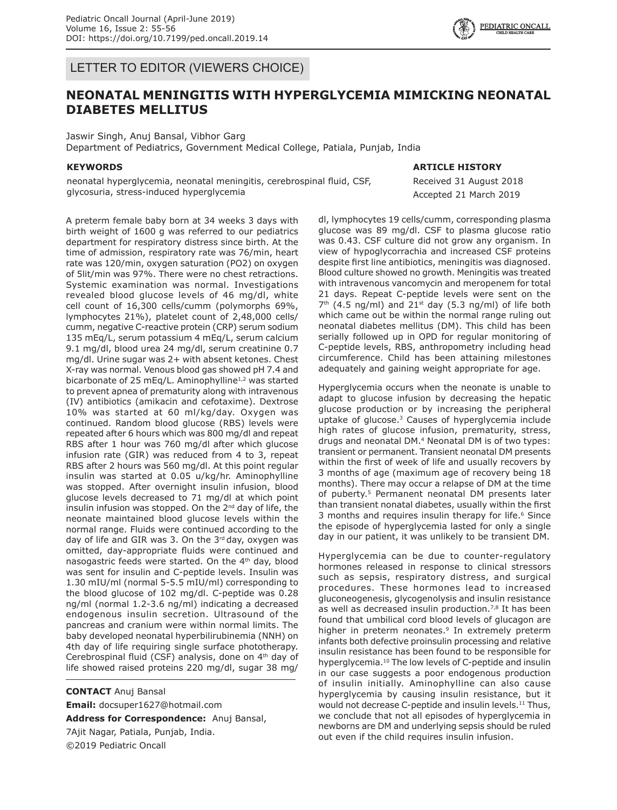LETTER TO EDITOR (VIEWERS CHOICE)

## **NEONATAL MENINGITIS WITH HYPERGLYCEMIA MIMICKING NEONATAL DIABETES MELLITUS**

Jaswir Singh, Anuj Bansal, Vibhor Garg Department of Pediatrics, Government Medical College, Patiala, Punjab, India

#### **KEYWORDS**

neonatal hyperglycemia, neonatal meningitis, cerebrospinal fluid, CSF, glycosuria, stress-induced hyperglycemia

**ARTICLE HISTORY**

Received 31 August 2018 Accepted 21 March 2019

A preterm female baby born at 34 weeks 3 days with birth weight of 1600 g was referred to our pediatrics department for respiratory distress since birth. At the time of admission, respiratory rate was 76/min, heart rate was 120/min, oxygen saturation (PO2) on oxygen of 5lit/min was 97%. There were no chest retractions. Systemic examination was normal. Investigations revealed blood glucose levels of 46 mg/dl, white cell count of 16,300 cells/cumm (polymorphs 69%, lymphocytes 21%), platelet count of 2,48,000 cells/ cumm, negative C-reactive protein (CRP) serum sodium 135 mEq/L, serum potassium 4 mEq/L, serum calcium 9.1 mg/dl, blood urea 24 mg/dl, serum creatinine 0.7 mg/dl. Urine sugar was 2+ with absent ketones. Chest X-ray was normal. Venous blood gas showed pH 7.4 and bicarbonate of 25 mEg/L. Aminophylline<sup>1,2</sup> was started to prevent apnea of prematurity along with intravenous (IV) antibiotics (amikacin and cefotaxime). Dextrose 10% was started at 60 ml/kg/day. Oxygen was continued. Random blood glucose (RBS) levels were repeated after 6 hours which was 800 mg/dl and repeat RBS after 1 hour was 760 mg/dl after which glucose infusion rate (GIR) was reduced from 4 to 3, repeat RBS after 2 hours was 560 mg/dl. At this point regular insulin was started at 0.05 u/kg/hr. Aminophylline was stopped. After overnight insulin infusion, blood glucose levels decreased to 71 mg/dl at which point insulin infusion was stopped. On the 2<sup>nd</sup> day of life, the neonate maintained blood glucose levels within the normal range. Fluids were continued according to the day of life and GIR was 3. On the  $3^{rd}$  day, oxygen was omitted, day-appropriate fluids were continued and nasogastric feeds were started. On the 4<sup>th</sup> day, blood was sent for insulin and C-peptide levels. Insulin was 1.30 mIU/ml (normal 5-5.5 mIU/ml) corresponding to the blood glucose of 102 mg/dl. C-peptide was 0.28 ng/ml (normal 1.2-3.6 ng/ml) indicating a decreased endogenous insulin secretion. Ultrasound of the pancreas and cranium were within normal limits. The baby developed neonatal hyperbilirubinemia (NNH) on 4th day of life requiring single surface phototherapy. Cerebrospinal fluid (CSF) analysis, done on 4th day of life showed raised proteins 220 mg/dl, sugar 38 mg/

**CONTACT** Anuj Bansal **Email:** docsuper1627@hotmail.com **Address for Correspondence:** Anuj Bansal, 7Ajit Nagar, Patiala, Punjab, India. ©2019 Pediatric Oncall

dl, lymphocytes 19 cells/cumm, corresponding plasma glucose was 89 mg/dl. CSF to plasma glucose ratio was 0.43. CSF culture did not grow any organism. In view of hypoglycorrachia and increased CSF proteins despite first line antibiotics, meningitis was diagnosed. Blood culture showed no growth. Meningitis was treated with intravenous vancomycin and meropenem for total 21 days. Repeat C-peptide levels were sent on the  $7<sup>th</sup>$  (4.5 ng/ml) and 21<sup>st</sup> day (5.3 ng/ml) of life both which came out be within the normal range ruling out neonatal diabetes mellitus (DM). This child has been serially followed up in OPD for regular monitoring of C-peptide levels, RBS, anthropometry including head circumference. Child has been attaining milestones adequately and gaining weight appropriate for age.

Hyperglycemia occurs when the neonate is unable to adapt to glucose infusion by decreasing the hepatic glucose production or by increasing the peripheral uptake of glucose.3 Causes of hyperglycemia include high rates of glucose infusion, prematurity, stress, drugs and neonatal DM.<sup>4</sup> Neonatal DM is of two types: transient or permanent. Transient neonatal DM presents within the first of week of life and usually recovers by 3 months of age (maximum age of recovery being 18 months). There may occur a relapse of DM at the time of puberty.<sup>5</sup> Permanent neonatal DM presents later than transient nonatal diabetes, usually within the first 3 months and requires insulin therapy for life.<sup>6</sup> Since the episode of hyperglycemia lasted for only a single day in our patient, it was unlikely to be transient DM.

Hyperglycemia can be due to counter-regulatory hormones released in response to clinical stressors such as sepsis, respiratory distress, and surgical procedures. These hormones lead to increased gluconeogenesis, glycogenolysis and insulin resistance as well as decreased insulin production.<sup>7,8</sup> It has been found that umbilical cord blood levels of glucagon are higher in preterm neonates.<sup>9</sup> In extremely preterm infants both defective proinsulin processing and relative insulin resistance has been found to be responsible for hyperglycemia.<sup>10</sup> The low levels of C-peptide and insulin in our case suggests a poor endogenous production of insulin initially. Aminophylline can also cause hyperglycemia by causing insulin resistance, but it would not decrease C-peptide and insulin levels.<sup>11</sup> Thus, we conclude that not all episodes of hyperglycemia in newborns are DM and underlying sepsis should be ruled out even if the child requires insulin infusion.